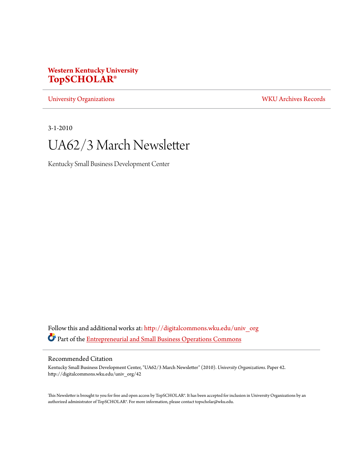# **Western Kentucky University [TopSCHOLAR®](http://digitalcommons.wku.edu?utm_source=digitalcommons.wku.edu%2Funiv_org%2F42&utm_medium=PDF&utm_campaign=PDFCoverPages)**

[University Organizations](http://digitalcommons.wku.edu/univ_org?utm_source=digitalcommons.wku.edu%2Funiv_org%2F42&utm_medium=PDF&utm_campaign=PDFCoverPages) [WKU Archives Records](http://digitalcommons.wku.edu/dlsc_ua_records?utm_source=digitalcommons.wku.edu%2Funiv_org%2F42&utm_medium=PDF&utm_campaign=PDFCoverPages)

3-1-2010

# UA62/3 March Newsletter

Kentucky Small Business Development Center

Follow this and additional works at: [http://digitalcommons.wku.edu/univ\\_org](http://digitalcommons.wku.edu/univ_org?utm_source=digitalcommons.wku.edu%2Funiv_org%2F42&utm_medium=PDF&utm_campaign=PDFCoverPages) Part of the [Entrepreneurial and Small Business Operations Commons](http://network.bepress.com/hgg/discipline/630?utm_source=digitalcommons.wku.edu%2Funiv_org%2F42&utm_medium=PDF&utm_campaign=PDFCoverPages)

#### Recommended Citation

Kentucky Small Business Development Center, "UA62/3 March Newsletter" (2010). *University Organizations.* Paper 42. http://digitalcommons.wku.edu/univ\_org/42

This Newsletter is brought to you for free and open access by TopSCHOLAR®. It has been accepted for inclusion in University Organizations by an authorized administrator of TopSCHOLAR®. For more information, please contact topscholar@wku.edu.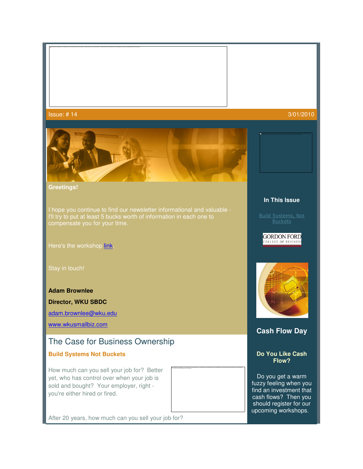#### ${\tt lssue:}$  # 14  $3/01/2010$



#### **Greetings!**

I hope you continue to find our newsletter informational and valuable - I'll try to put at least 5 bucks worth of information in each one to compensate you for your time.

Here's the workshop link.

#### **Adam Brownlee**

**Director, WKU SBDC**

adam.brownlee@wku.edu

www.wkusmallbiz.com

# The Case for Business Ownership

#### **Build Systems Not Buckets**

How much can you sell your job for? Better yet, who has control over when your job is sold and bought? Your employer, right you're either hired or fired.

After 20 years, how much can you sell your job for?

## **In This Issue**

Build Systems, Not Buckets

#### **GORDON FORD** COLLEGE OF BUSINESS



### **Cash Flow Day**

#### **Do You Like Cash Flow?**

The image cannot be displayed. Your computer may not have enough memory to open the image, or the image may have been corrupted. Restart your computer, and then open the file again. If the red x still appears,

you may have to delete the image and then insert it again.

Do you get a warm fuzzy feeling when you find an investment that cash flows? Then you should register for our upcoming workshops.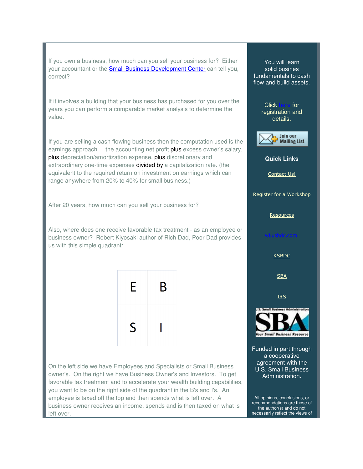If you own a business, how much can you sell your business for? Either your accountant or the *Small Business Development Center* can tell you, correct?

If it involves a building that your business has purchased for you over the years you can perform a comparable market analysis to determine the value.

If you are selling a cash flowing business then the computation used is the If you are selling a cash flowing business then the computation used is the<br>earnings approach ... the accounting net profit **plus** excess owner's salary, plus depreciation/amortization expense, plus discretionary and extraordinary one-time expenses **divided by** a capitalization rate. (the equivalent to the required return on investment on earnings which can range anywhere from 20% to 40% for small business.) lent to the required return on investment on earnings which can<br>anywhere from 20% to 40% for small business.)<br>0 years, how much can you sell your business for?<br>where does one receive favorable tax treatment - as an employe

After 20 years, how much can you sell your business for?

Also, where does one receive favorable tax treatment - as an employee or business owner? Robert Kiyosaki author of Rich Dad, Poor Dad provides us with this simple quadrant:



On the left side we have Employees and Specialists or Small Business On the left side we have Employees and Specialists or Small Business<br>owner's. On the right we have Business Owner's and Investors. To get favorable tax treatment and to accelerate your wealth building capabilities, favorable tax treatment and to accelerate your wealth building capabil<br>you want to be on the right side of the quadrant in the B's and I's. An employee is taxed off the top and then spends what is left over. A business owner receives an income, spends and is then taxed on what is left over.

The matter can tell you,<br>
alid business for you over the<br>
tundamentals to change that<br>
tundamentals to change that<br>
tundamentals to change that<br>
tunding the constant of the constant of the details<br>
tunding the second on th solid busines fundamentals to cash flow and build assets. Click registration and **Quick L Links** Contact Us! Register for a Workshop **Resources** Funded in part through a cooperative agreement with the for details. **KSBDC SBA** IRS a cooperative<br>agreement with th<br>J.S. Small Busine<br>Administration.

All opinions, conclusions, or recommendations are those of ommendations are those<br>the author(s) and do not necessarily reflect the views of

U.S. Small Business Administration.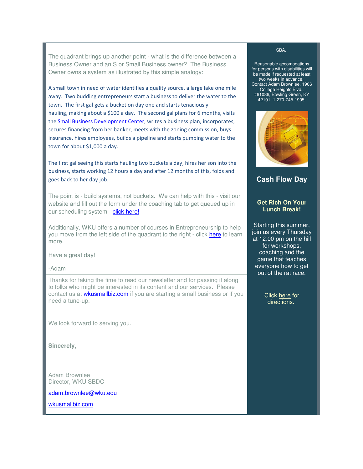The quadrant brings up another point - what is the difference between a Business Owner and an S or Small Business owner? The Business Owner owns a system as illustrated by this simple analogy:

A small town in need of water identifies a quality source, a large lake one mile away. Two budding entrepreneurs start a business to deliver the water to the town. The first gal gets a bucket on day one and starts tenaciously hauling, making about a \$100 a day. The second gal plans for 6 months, visits the Small Business Development Center, writes a business plan, incorporates, secures financing from her banker, meets with the zoning commission, buys insurance, hires employees, builds a pipeline and starts pumping water to the town for about \$1,000 a day.

The first gal seeing this starts hauling two buckets a day, hires her son into the business, starts working 12 hours a day and after 12 months of this, folds and goes back to her day job.

The point is - build systems, not buckets. We can help with this - visit our website and fill out the form under the coaching tab to get queued up in our scheduling system - click here!

Additionally, WKU offers a number of courses in Entrepreneurship to help you move from the left side of the quadrant to the right - click here to learn more.

Have a great day!

-Adam

Thanks for taking the time to read our newsletter and for passing it along to folks who might be interested in its content and our services. Please contact us at wkusmallbiz.com if you are starting a small business or if you need a tune-up.

We look forward to serving you.

**Sincerely,**

Adam Brownlee Director, WKU SBDC

adam.brownlee@wku.edu

wkusmallbiz.com

#### SBA.

Reasonable accomodations for persons with disabilities will be made if requested at least two weeks in advance. Contact Adam Brownlee, 1906 College Heights Blvd., #61086, Bowling Green, KY 42101. 1-270-745-1905.



**Cash Flow Day** 

#### **Get Rich On Your Lunch Break!**

Starting this summer, join us every Thursday at 12:00 pm on the hill for workshops, coaching and the game that teaches everyone how to get out of the rat race.

> Click here for directions.